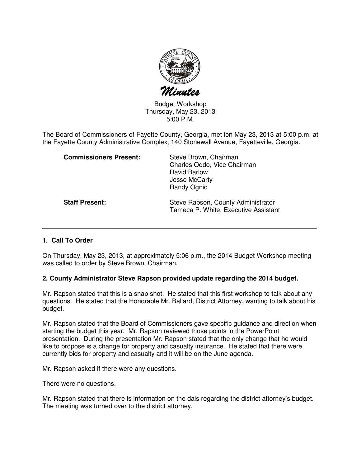

Budget Workshop Thursday, May 23, 2013 5:00 P.M.

The Board of Commissioners of Fayette County, Georgia, met ion May 23, 2013 at 5:00 p.m. at the Fayette County Administrative Complex, 140 Stonewall Avenue, Fayetteville, Georgia.

| <b>Commissioners Present:</b> | Steve Brown, Chairman<br>Charles Oddo, Vice Chairman<br>David Barlow<br>Jesse McCarty<br>Randy Ognio |
|-------------------------------|------------------------------------------------------------------------------------------------------|
| <b>Staff Present:</b>         | Steve Rapson, County Administrator<br>Tameca P. White, Executive Assistant                           |

## **1. Call To Order**

On Thursday, May 23, 2013, at approximately 5:06 p.m., the 2014 Budget Workshop meeting was called to order by Steve Brown, Chairman.

**\_\_\_\_\_\_\_\_\_\_\_\_\_\_\_\_\_\_\_\_\_\_\_\_\_\_\_\_\_\_\_\_\_\_\_\_\_\_\_\_\_\_\_\_\_\_\_\_\_\_\_\_\_\_\_\_\_\_\_\_\_\_\_\_\_\_\_\_\_\_\_\_\_\_\_\_**

## **2. County Administrator Steve Rapson provided update regarding the 2014 budget.**

Mr. Rapson stated that this is a snap shot. He stated that this first workshop to talk about any questions. He stated that the Honorable Mr. Ballard, District Attorney, wanting to talk about his budget.

Mr. Rapson stated that the Board of Commissioners gave specific guidance and direction when starting the budget this year. Mr. Rapson reviewed those points in the PowerPoint presentation. During the presentation Mr. Rapson stated that the only change that he would like to propose is a change for property and casualty insurance. He stated that there were currently bids for property and casualty and it will be on the June agenda.

Mr. Rapson asked if there were any questions.

There were no questions.

Mr. Rapson stated that there is information on the dais regarding the district attorney's budget. The meeting was turned over to the district attorney.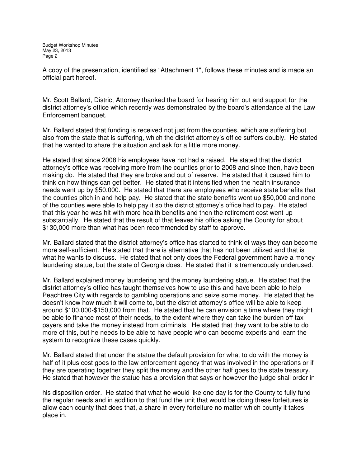A copy of the presentation, identified as "Attachment 1", follows these minutes and is made an official part hereof.

Mr. Scott Ballard, District Attorney thanked the board for hearing him out and support for the district attorney's office which recently was demonstrated by the board's attendance at the Law Enforcement banquet.

Mr. Ballard stated that funding is received not just from the counties, which are suffering but also from the state that is suffering, which the district attorney's office suffers doubly. He stated that he wanted to share the situation and ask for a little more money.

He stated that since 2008 his employees have not had a raised. He stated that the district attorney's office was receiving more from the counties prior to 2008 and since then, have been making do. He stated that they are broke and out of reserve. He stated that it caused him to think on how things can get better. He stated that it intensified when the health insurance needs went up by \$50,000. He stated that there are employees who receive state benefits that the counties pitch in and help pay. He stated that the state benefits went up \$50,000 and none of the counties were able to help pay it so the district attorney's office had to pay. He stated that this year he was hit with more health benefits and then the retirement cost went up substantially. He stated that the result of that leaves his office asking the County for about \$130,000 more than what has been recommended by staff to approve.

Mr. Ballard stated that the district attorney's office has started to think of ways they can become more self-sufficient. He stated that there is alternative that has not been utilized and that is what he wants to discuss. He stated that not only does the Federal government have a money laundering statue, but the state of Georgia does. He stated that it is tremendously underused.

Mr. Ballard explained money laundering and the money laundering statue. He stated that the district attorney's office has taught themselves how to use this and have been able to help Peachtree City with regards to gambling operations and seize some money. He stated that he doesn't know how much it will come to, but the district attorney's office will be able to keep around \$100,000-\$150,000 from that. He stated that he can envision a time where they might be able to finance most of their needs, to the extent where they can take the burden off tax payers and take the money instead from criminals. He stated that they want to be able to do more of this, but he needs to be able to have people who can become experts and learn the system to recognize these cases quickly.

Mr. Ballard stated that under the statue the default provision for what to do with the money is half of it plus cost goes to the law enforcement agency that was involved in the operations or if they are operating together they split the money and the other half goes to the state treasury. He stated that however the statue has a provision that says or however the judge shall order in

his disposition order. He stated that what he would like one day is for the County to fully fund the regular needs and in addition to that fund the unit that would be doing these forfeitures is allow each county that does that, a share in every forfeiture no matter which county it takes place in.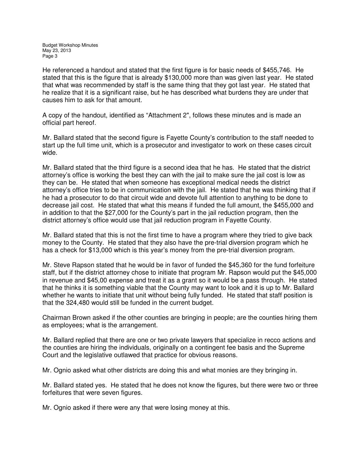He referenced a handout and stated that the first figure is for basic needs of \$455,746. He stated that this is the figure that is already \$130,000 more than was given last year. He stated that what was recommended by staff is the same thing that they got last year. He stated that he realize that it is a significant raise, but he has described what burdens they are under that causes him to ask for that amount.

A copy of the handout, identified as "Attachment 2", follows these minutes and is made an official part hereof.

Mr. Ballard stated that the second figure is Fayette County's contribution to the staff needed to start up the full time unit, which is a prosecutor and investigator to work on these cases circuit wide.

Mr. Ballard stated that the third figure is a second idea that he has. He stated that the district attorney's office is working the best they can with the jail to make sure the jail cost is low as they can be. He stated that when someone has exceptional medical needs the district attorney's office tries to be in communication with the jail. He stated that he was thinking that if he had a prosecutor to do that circuit wide and devote full attention to anything to be done to decrease jail cost. He stated that what this means if funded the full amount, the \$455,000 and in addition to that the \$27,000 for the County's part in the jail reduction program, then the district attorney's office would use that jail reduction program in Fayette County.

Mr. Ballard stated that this is not the first time to have a program where they tried to give back money to the County. He stated that they also have the pre-trial diversion program which he has a check for \$13,000 which is this year's money from the pre-trial diversion program.

Mr. Steve Rapson stated that he would be in favor of funded the \$45,360 for the fund forfeiture staff, but if the district attorney chose to initiate that program Mr. Rapson would put the \$45,000 in revenue and \$45,00 expense and treat it as a grant so it would be a pass through. He stated that he thinks it is something viable that the County may want to look and it is up to Mr. Ballard whether he wants to initiate that unit without being fully funded. He stated that staff position is that the 324,480 would still be funded in the current budget.

Chairman Brown asked if the other counties are bringing in people; are the counties hiring them as employees; what is the arrangement.

Mr. Ballard replied that there are one or two private lawyers that specialize in recco actions and the counties are hiring the individuals, originally on a contingent fee basis and the Supreme Court and the legislative outlawed that practice for obvious reasons.

Mr. Ognio asked what other districts are doing this and what monies are they bringing in.

Mr. Ballard stated yes. He stated that he does not know the figures, but there were two or three forfeitures that were seven figures.

Mr. Ognio asked if there were any that were losing money at this.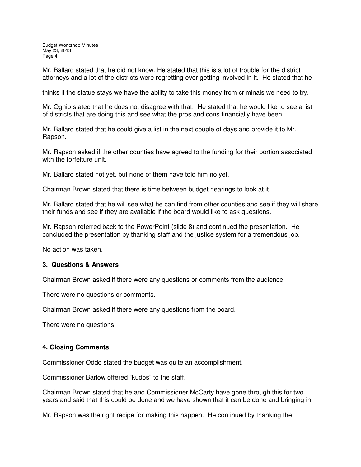Budget Workshop Minutes May 23, 2013 Page 4

Mr. Ballard stated that he did not know. He stated that this is a lot of trouble for the district attorneys and a lot of the districts were regretting ever getting involved in it. He stated that he

thinks if the statue stays we have the ability to take this money from criminals we need to try.

Mr. Ognio stated that he does not disagree with that. He stated that he would like to see a list of districts that are doing this and see what the pros and cons financially have been.

Mr. Ballard stated that he could give a list in the next couple of days and provide it to Mr. Rapson.

Mr. Rapson asked if the other counties have agreed to the funding for their portion associated with the forfeiture unit.

Mr. Ballard stated not yet, but none of them have told him no yet.

Chairman Brown stated that there is time between budget hearings to look at it.

Mr. Ballard stated that he will see what he can find from other counties and see if they will share their funds and see if they are available if the board would like to ask questions.

Mr. Rapson referred back to the PowerPoint (slide 8) and continued the presentation. He concluded the presentation by thanking staff and the justice system for a tremendous job.

No action was taken.

### **3. Questions & Answers**

Chairman Brown asked if there were any questions or comments from the audience.

There were no questions or comments.

Chairman Brown asked if there were any questions from the board.

There were no questions.

## **4. Closing Comments**

Commissioner Oddo stated the budget was quite an accomplishment.

Commissioner Barlow offered "kudos" to the staff.

Chairman Brown stated that he and Commissioner McCarty have gone through this for two years and said that this could be done and we have shown that it can be done and bringing in

Mr. Rapson was the right recipe for making this happen. He continued by thanking the